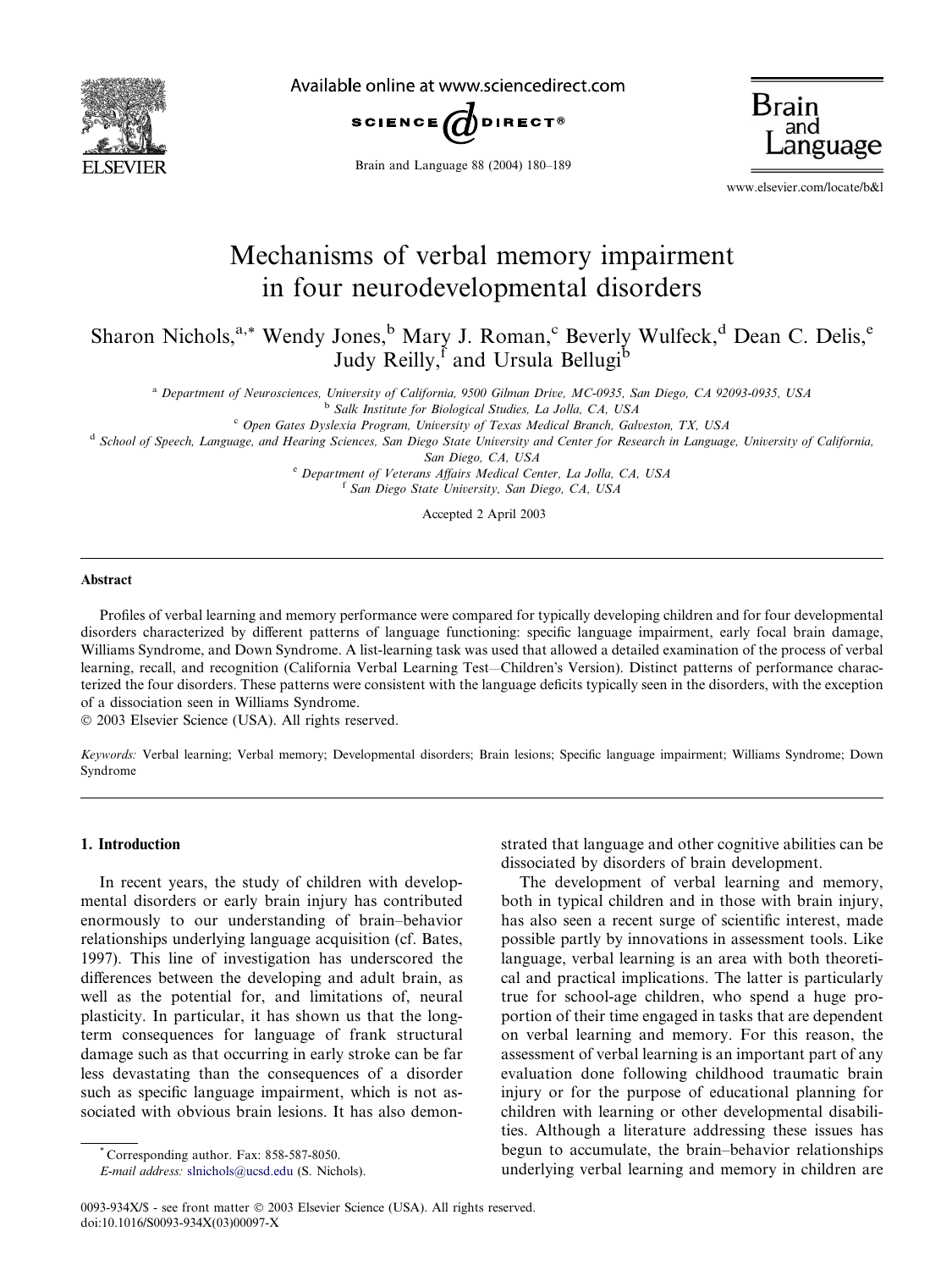

Available online at www.sciencedirect.com



Brain and Language 88 (2004) 180–189

Brain

www.elsevier.com/locate/b&l

## Mechanisms of verbal memory impairment in four neurodevelopmental disorders

Sharon Nichols,<sup>a,\*</sup> Wendy Jones,<sup>b</sup> Mary J. Roman,<sup>c</sup> Beverly Wulfeck,<sup>d</sup> Dean C. Delis,<sup>e</sup> Judy Reilly, and Ursula Bellugi<sup>b</sup>

<sup>a</sup> Department of Neurosciences, University of California, 9500 Gilman Drive, MC-0935, San Diego, CA 92093-0935, USA

<sup>b</sup> Salk Institute for Biological Studies, La Jolla, CA, USA

 $c$  Open Gates Dyslexia Program, University of Texas Medical Branch, Galveston, TX, USA

<sup>d</sup> School of Speech, Language, and Hearing Sciences, San Diego State University and Center for Research in Language, University of California,

San Diego, CA, USA

<sup>e</sup> Department of Veterans Affairs Medical Center, La Jolla, CA, USA <sup>f</sup> San Diego State University, San Diego, CA, USA

Accepted 2 April 2003

## Abstract

Profiles of verbal learning and memory performance were compared for typically developing children and for four developmental disorders characterized by different patterns of language functioning: specific language impairment, early focal brain damage, Williams Syndrome, and Down Syndrome. A list-learning task was used that allowed a detailed examination of the process of verbal learning, recall, and recognition (California Verbal Learning Test—Children's Version). Distinct patterns of performance characterized the four disorders. These patterns were consistent with the language deficits typically seen in the disorders, with the exception of a dissociation seen in Williams Syndrome.

2003 Elsevier Science (USA). All rights reserved.

Keywords: Verbal learning; Verbal memory; Developmental disorders; Brain lesions; Specific language impairment; Williams Syndrome; Down Syndrome

## 1. Introduction

In recent years, the study of children with developmental disorders or early brain injury has contributed enormously to our understanding of brain–behavior relationships underlying language acquisition (cf. Bates, 1997). This line of investigation has underscored the differences between the developing and adult brain, as well as the potential for, and limitations of, neural plasticity. In particular, it has shown us that the longterm consequences for language of frank structural damage such as that occurring in early stroke can be far less devastating than the consequences of a disorder such as specific language impairment, which is not associated with obvious brain lesions. It has also demonstrated that language and other cognitive abilities can be dissociated by disorders of brain development.

The development of verbal learning and memory, both in typical children and in those with brain injury, has also seen a recent surge of scientific interest, made possible partly by innovations in assessment tools. Like language, verbal learning is an area with both theoretical and practical implications. The latter is particularly true for school-age children, who spend a huge proportion of their time engaged in tasks that are dependent on verbal learning and memory. For this reason, the assessment of verbal learning is an important part of any evaluation done following childhood traumatic brain injury or for the purpose of educational planning for children with learning or other developmental disabilities. Although a literature addressing these issues has begun to accumulate, the brain–behavior relationships underlying verbal learning and memory in children are

<sup>\*</sup> Corresponding author. Fax: 858-587-8050.

E-mail address: [slnichols@ucsd.edu](mail to: slnichols@ucsd.edu) (S. Nichols).

<sup>0093-934</sup>X/\$ - see front matter © 2003 Elsevier Science (USA). All rights reserved. doi:10.1016/S0093-934X(03)00097-X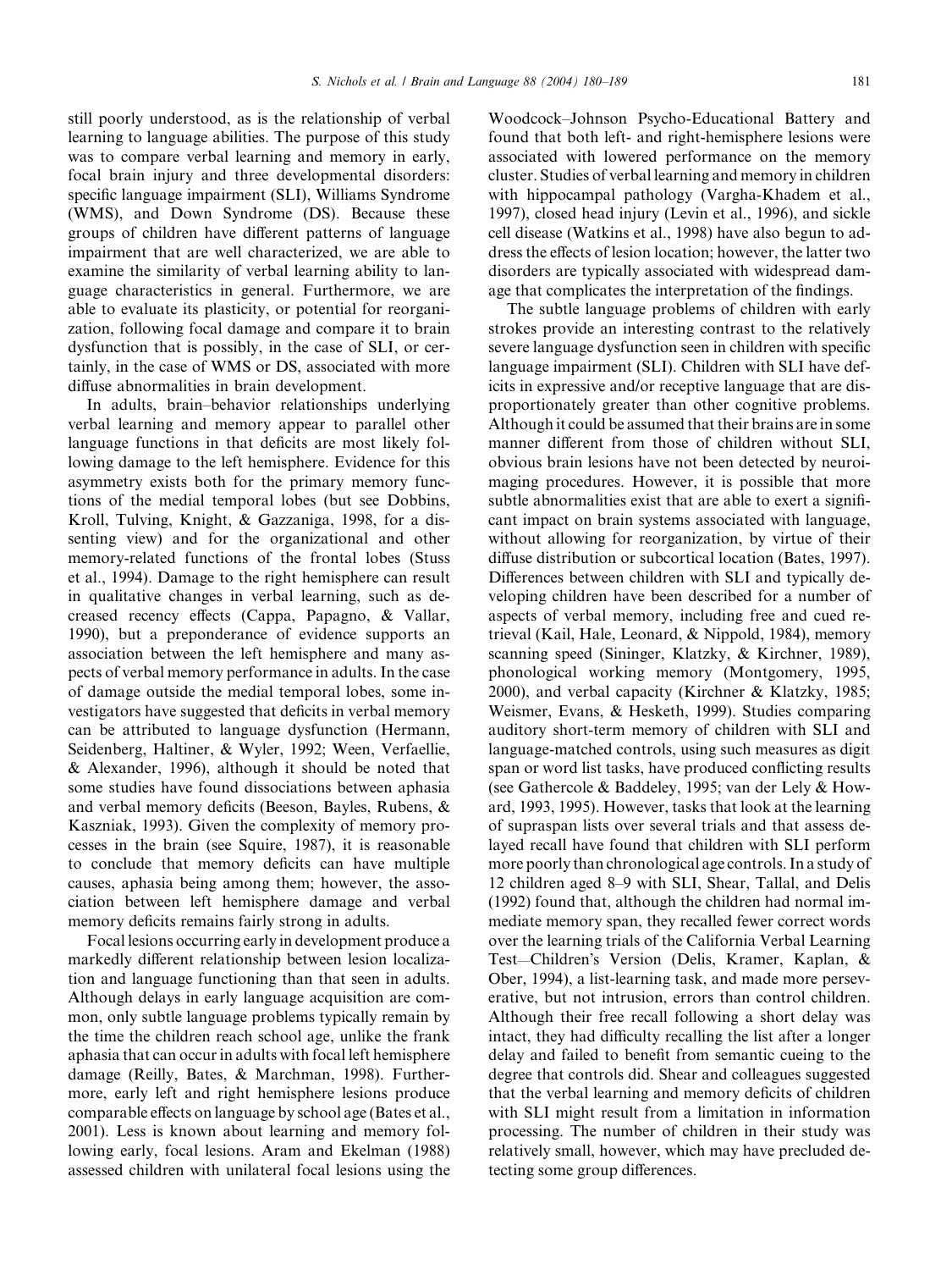still poorly understood, as is the relationship of verbal learning to language abilities. The purpose of this study was to compare verbal learning and memory in early, focal brain injury and three developmental disorders: specific language impairment (SLI), Williams Syndrome (WMS), and Down Syndrome (DS). Because these groups of children have different patterns of language impairment that are well characterized, we are able to examine the similarity of verbal learning ability to language characteristics in general. Furthermore, we are able to evaluate its plasticity, or potential for reorganization, following focal damage and compare it to brain dysfunction that is possibly, in the case of SLI, or certainly, in the case of WMS or DS, associated with more diffuse abnormalities in brain development.

In adults, brain–behavior relationships underlying verbal learning and memory appear to parallel other language functions in that deficits are most likely following damage to the left hemisphere. Evidence for this asymmetry exists both for the primary memory functions of the medial temporal lobes (but see Dobbins, Kroll, Tulving, Knight, & Gazzaniga, 1998, for a dissenting view) and for the organizational and other memory-related functions of the frontal lobes (Stuss et al., 1994). Damage to the right hemisphere can result in qualitative changes in verbal learning, such as decreased recency effects (Cappa, Papagno, & Vallar, 1990), but a preponderance of evidence supports an association between the left hemisphere and many aspects of verbal memory performance in adults. In the case of damage outside the medial temporal lobes, some investigators have suggested that deficits in verbal memory can be attributed to language dysfunction (Hermann, Seidenberg, Haltiner, & Wyler, 1992; Ween, Verfaellie, & Alexander, 1996), although it should be noted that some studies have found dissociations between aphasia and verbal memory deficits (Beeson, Bayles, Rubens, & Kaszniak, 1993). Given the complexity of memory processes in the brain (see Squire, 1987), it is reasonable to conclude that memory deficits can have multiple causes, aphasia being among them; however, the association between left hemisphere damage and verbal memory deficits remains fairly strong in adults.

Focal lesions occurring early in development produce a markedly different relationship between lesion localization and language functioning than that seen in adults. Although delays in early language acquisition are common, only subtle language problems typically remain by the time the children reach school age, unlike the frank aphasia that can occur in adults with focal left hemisphere damage (Reilly, Bates, & Marchman, 1998). Furthermore, early left and right hemisphere lesions produce comparable effects on language by school age (Bates et al., 2001). Less is known about learning and memory following early, focal lesions. Aram and Ekelman (1988) assessed children with unilateral focal lesions using the Woodcock–Johnson Psycho-Educational Battery and found that both left- and right-hemisphere lesions were associated with lowered performance on the memory cluster. Studies of verbal learning and memory in children with hippocampal pathology (Vargha-Khadem et al., 1997), closed head injury (Levin et al., 1996), and sickle cell disease (Watkins et al., 1998) have also begun to address the effects of lesion location; however, the latter two disorders are typically associated with widespread damage that complicates the interpretation of the findings.

The subtle language problems of children with early strokes provide an interesting contrast to the relatively severe language dysfunction seen in children with specific language impairment (SLI). Children with SLI have deficits in expressive and/or receptive language that are disproportionately greater than other cognitive problems. Although it could be assumed that their brains are in some manner different from those of children without SLI, obvious brain lesions have not been detected by neuroimaging procedures. However, it is possible that more subtle abnormalities exist that are able to exert a significant impact on brain systems associated with language, without allowing for reorganization, by virtue of their diffuse distribution or subcortical location (Bates, 1997). Differences between children with SLI and typically developing children have been described for a number of aspects of verbal memory, including free and cued retrieval (Kail, Hale, Leonard, & Nippold, 1984), memory scanning speed (Sininger, Klatzky, & Kirchner, 1989), phonological working memory (Montgomery, 1995, 2000), and verbal capacity (Kirchner & Klatzky, 1985; Weismer, Evans, & Hesketh, 1999). Studies comparing auditory short-term memory of children with SLI and language-matched controls, using such measures as digit span or word list tasks, have produced conflicting results (see Gathercole & Baddeley, 1995; van der Lely & Howard, 1993, 1995). However, tasks that look at the learning of supraspan lists over several trials and that assess delayed recall have found that children with SLI perform more poorly than chronological age controls. In a study of 12 children aged 8–9 with SLI, Shear, Tallal, and Delis (1992) found that, although the children had normal immediate memory span, they recalled fewer correct words over the learning trials of the California Verbal Learning Test—Children's Version (Delis, Kramer, Kaplan, & Ober, 1994), a list-learning task, and made more perseverative, but not intrusion, errors than control children. Although their free recall following a short delay was intact, they had difficulty recalling the list after a longer delay and failed to benefit from semantic cueing to the degree that controls did. Shear and colleagues suggested that the verbal learning and memory deficits of children with SLI might result from a limitation in information processing. The number of children in their study was relatively small, however, which may have precluded detecting some group differences.